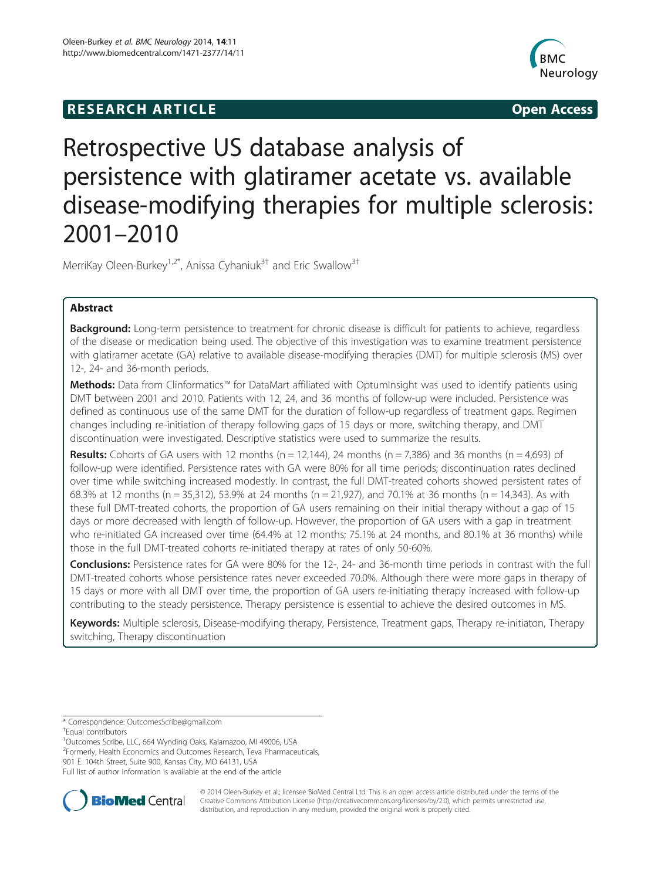# **RESEARCH ARTICLE Example 2014 12:30 The SEAR CHA RESEARCH ARTICLE**



# Retrospective US database analysis of persistence with glatiramer acetate vs. available disease-modifying therapies for multiple sclerosis: 2001–2010

MerriKay Oleen-Burkey<sup>1,2\*</sup>, Anissa Cyhaniuk<sup>3†</sup> and Eric Swallow<sup>3†</sup>

# Abstract

**Background:** Long-term persistence to treatment for chronic disease is difficult for patients to achieve, regardless of the disease or medication being used. The objective of this investigation was to examine treatment persistence with glatiramer acetate (GA) relative to available disease-modifying therapies (DMT) for multiple sclerosis (MS) over 12-, 24- and 36-month periods.

Methods: Data from Clinformatics™ for DataMart affiliated with OptumInsight was used to identify patients using DMT between 2001 and 2010. Patients with 12, 24, and 36 months of follow-up were included. Persistence was defined as continuous use of the same DMT for the duration of follow-up regardless of treatment gaps. Regimen changes including re-initiation of therapy following gaps of 15 days or more, switching therapy, and DMT discontinuation were investigated. Descriptive statistics were used to summarize the results.

**Results:** Cohorts of GA users with 12 months (n = 12,144), 24 months (n = 7,386) and 36 months (n = 4,693) of follow-up were identified. Persistence rates with GA were 80% for all time periods; discontinuation rates declined over time while switching increased modestly. In contrast, the full DMT-treated cohorts showed persistent rates of 68.3% at 12 months (n = 35,312), 53.9% at 24 months (n = 21,927), and 70.1% at 36 months (n = 14,343). As with these full DMT-treated cohorts, the proportion of GA users remaining on their initial therapy without a gap of 15 days or more decreased with length of follow-up. However, the proportion of GA users with a gap in treatment who re-initiated GA increased over time (64.4% at 12 months; 75.1% at 24 months, and 80.1% at 36 months) while those in the full DMT-treated cohorts re-initiated therapy at rates of only 50-60%.

**Conclusions:** Persistence rates for GA were 80% for the 12-, 24- and 36-month time periods in contrast with the full DMT-treated cohorts whose persistence rates never exceeded 70.0%. Although there were more gaps in therapy of 15 days or more with all DMT over time, the proportion of GA users re-initiating therapy increased with follow-up contributing to the steady persistence. Therapy persistence is essential to achieve the desired outcomes in MS.

Keywords: Multiple sclerosis, Disease-modifying therapy, Persistence, Treatment gaps, Therapy re-initiaton, Therapy switching, Therapy discontinuation

<sup>+</sup>Equal contributors

1 Outcomes Scribe, LLC, 664 Wynding Oaks, Kalamazoo, MI 49006, USA <sup>2</sup> Formerly, Health Economics and Outcomes Research, Teva Pharmaceuticals, 901 E. 104th Street, Suite 900, Kansas City, MO 64131, USA

Full list of author information is available at the end of the article



© 2014 Oleen-Burkey et al.; licensee BioMed Central Ltd. This is an open access article distributed under the terms of the Creative Commons Attribution License (<http://creativecommons.org/licenses/by/2.0>), which permits unrestricted use, distribution, and reproduction in any medium, provided the original work is properly cited.

<sup>\*</sup> Correspondence: [OutcomesScribe@gmail.com](mailto:OutcomesScribe@gmail.com) †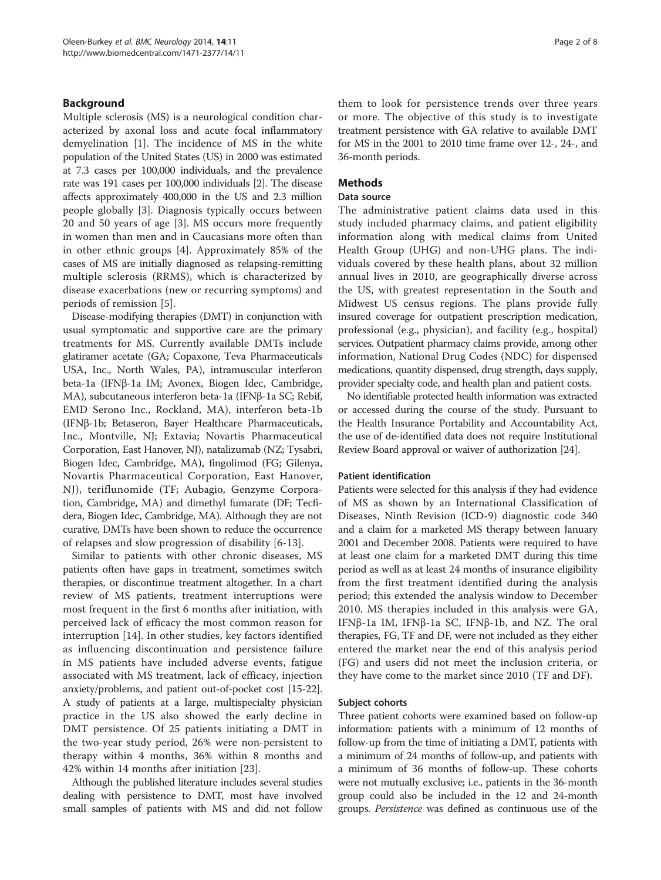# Background

Multiple sclerosis (MS) is a neurological condition characterized by axonal loss and acute focal inflammatory demyelination [[1\]](#page-6-0). The incidence of MS in the white population of the United States (US) in 2000 was estimated at 7.3 cases per 100,000 individuals, and the prevalence rate was 191 cases per 100,000 individuals [\[2\]](#page-6-0). The disease affects approximately 400,000 in the US and 2.3 million people globally [[3\]](#page-6-0). Diagnosis typically occurs between 20 and 50 years of age [[3\]](#page-6-0). MS occurs more frequently in women than men and in Caucasians more often than in other ethnic groups [\[4](#page-6-0)]. Approximately 85% of the cases of MS are initially diagnosed as relapsing-remitting multiple sclerosis (RRMS), which is characterized by disease exacerbations (new or recurring symptoms) and periods of remission [[5\]](#page-6-0).

Disease-modifying therapies (DMT) in conjunction with usual symptomatic and supportive care are the primary treatments for MS. Currently available DMTs include glatiramer acetate (GA; Copaxone, Teva Pharmaceuticals USA, Inc., North Wales, PA), intramuscular interferon beta-1a (IFNβ-1a IM; Avonex, Biogen Idec, Cambridge, MA), subcutaneous interferon beta-1a (IFNβ-1a SC; Rebif, EMD Serono Inc., Rockland, MA), interferon beta-1b (IFNβ-1b; Betaseron, Bayer Healthcare Pharmaceuticals, Inc., Montville, NJ; Extavia; Novartis Pharmaceutical Corporation, East Hanover, NJ), natalizumab (NZ; Tysabri, Biogen Idec, Cambridge, MA), fingolimod (FG; Gilenya, Novartis Pharmaceutical Corporation, East Hanover, NJ), teriflunomide (TF; Aubagio, Genzyme Corporation, Cambridge, MA) and dimethyl fumarate (DF; Tecfidera, Biogen Idec, Cambridge, MA). Although they are not curative, DMTs have been shown to reduce the occurrence of relapses and slow progression of disability [[6](#page-6-0)[-13](#page-7-0)].

Similar to patients with other chronic diseases, MS patients often have gaps in treatment, sometimes switch therapies, or discontinue treatment altogether. In a chart review of MS patients, treatment interruptions were most frequent in the first 6 months after initiation, with perceived lack of efficacy the most common reason for interruption [[14\]](#page-7-0). In other studies, key factors identified as influencing discontinuation and persistence failure in MS patients have included adverse events, fatigue associated with MS treatment, lack of efficacy, injection anxiety/problems, and patient out-of-pocket cost [[15](#page-7-0)-[22](#page-7-0)]. A study of patients at a large, multispecialty physician practice in the US also showed the early decline in DMT persistence. Of 25 patients initiating a DMT in the two-year study period, 26% were non-persistent to therapy within 4 months, 36% within 8 months and 42% within 14 months after initiation [[23\]](#page-7-0).

Although the published literature includes several studies dealing with persistence to DMT, most have involved small samples of patients with MS and did not follow

them to look for persistence trends over three years or more. The objective of this study is to investigate treatment persistence with GA relative to available DMT for MS in the 2001 to 2010 time frame over 12-, 24-, and 36-month periods.

# **Methods**

#### Data source

The administrative patient claims data used in this study included pharmacy claims, and patient eligibility information along with medical claims from United Health Group (UHG) and non-UHG plans. The individuals covered by these health plans, about 32 million annual lives in 2010, are geographically diverse across the US, with greatest representation in the South and Midwest US census regions. The plans provide fully insured coverage for outpatient prescription medication, professional (e.g., physician), and facility (e.g., hospital) services. Outpatient pharmacy claims provide, among other information, National Drug Codes (NDC) for dispensed medications, quantity dispensed, drug strength, days supply, provider specialty code, and health plan and patient costs.

No identifiable protected health information was extracted or accessed during the course of the study. Pursuant to the Health Insurance Portability and Accountability Act, the use of de-identified data does not require Institutional Review Board approval or waiver of authorization [\[24\]](#page-7-0).

#### Patient identification

Patients were selected for this analysis if they had evidence of MS as shown by an International Classification of Diseases, Ninth Revision (ICD-9) diagnostic code 340 and a claim for a marketed MS therapy between January 2001 and December 2008. Patients were required to have at least one claim for a marketed DMT during this time period as well as at least 24 months of insurance eligibility from the first treatment identified during the analysis period; this extended the analysis window to December 2010. MS therapies included in this analysis were GA, IFNβ-1a IM, IFNβ-1a SC, IFNβ-1b, and NZ. The oral therapies, FG, TF and DF, were not included as they either entered the market near the end of this analysis period (FG) and users did not meet the inclusion criteria, or they have come to the market since 2010 (TF and DF).

#### Subject cohorts

Three patient cohorts were examined based on follow-up information: patients with a minimum of 12 months of follow-up from the time of initiating a DMT, patients with a minimum of 24 months of follow-up, and patients with a minimum of 36 months of follow-up. These cohorts were not mutually exclusive; i.e., patients in the 36-month group could also be included in the 12 and 24-month groups. Persistence was defined as continuous use of the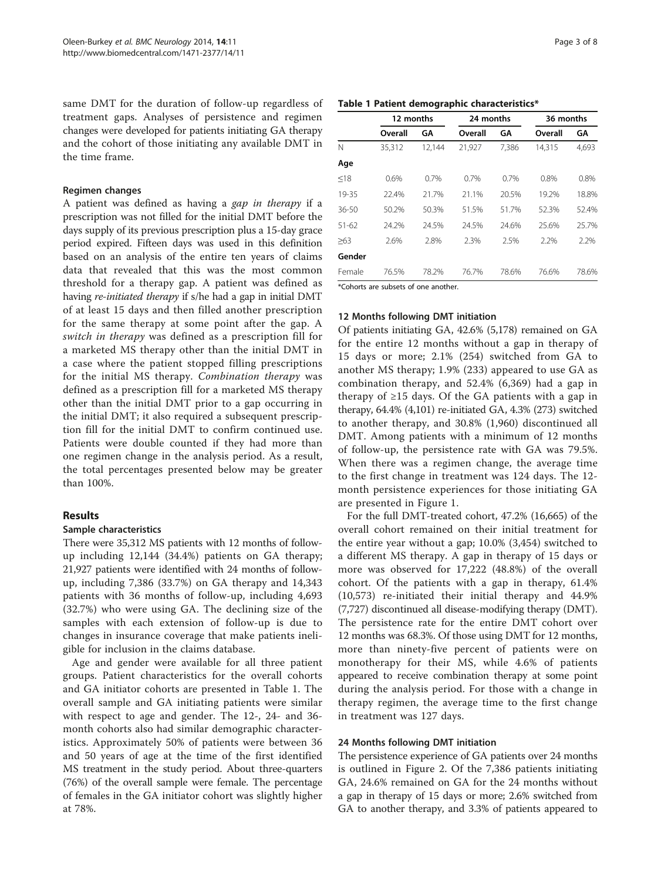same DMT for the duration of follow-up regardless of treatment gaps. Analyses of persistence and regimen changes were developed for patients initiating GA therapy and the cohort of those initiating any available DMT in the time frame.

#### Regimen changes

A patient was defined as having a gap in therapy if a prescription was not filled for the initial DMT before the days supply of its previous prescription plus a 15-day grace period expired. Fifteen days was used in this definition based on an analysis of the entire ten years of claims data that revealed that this was the most common threshold for a therapy gap. A patient was defined as having re-initiated therapy if s/he had a gap in initial DMT of at least 15 days and then filled another prescription for the same therapy at some point after the gap. A switch in therapy was defined as a prescription fill for a marketed MS therapy other than the initial DMT in a case where the patient stopped filling prescriptions for the initial MS therapy. Combination therapy was defined as a prescription fill for a marketed MS therapy other than the initial DMT prior to a gap occurring in the initial DMT; it also required a subsequent prescription fill for the initial DMT to confirm continued use. Patients were double counted if they had more than one regimen change in the analysis period. As a result, the total percentages presented below may be greater than 100%.

# Results

# Sample characteristics

There were 35,312 MS patients with 12 months of followup including 12,144 (34.4%) patients on GA therapy; 21,927 patients were identified with 24 months of followup, including 7,386 (33.7%) on GA therapy and 14,343 patients with 36 months of follow-up, including 4,693 (32.7%) who were using GA. The declining size of the samples with each extension of follow-up is due to changes in insurance coverage that make patients ineligible for inclusion in the claims database.

Age and gender were available for all three patient groups. Patient characteristics for the overall cohorts and GA initiator cohorts are presented in Table 1. The overall sample and GA initiating patients were similar with respect to age and gender. The 12-, 24- and 36 month cohorts also had similar demographic characteristics. Approximately 50% of patients were between 36 and 50 years of age at the time of the first identified MS treatment in the study period. About three-quarters (76%) of the overall sample were female. The percentage of females in the GA initiator cohort was slightly higher at 78%.

| Page 3 of 8 |  |  |
|-------------|--|--|
|-------------|--|--|

#### Table 1 Patient demographic characteristics\*

| Overall<br>35,312 | GΑ<br>12,144 | Overall<br>21,927                   | GΑ<br>7,386 | Overall<br>14,315 | GΑ    |
|-------------------|--------------|-------------------------------------|-------------|-------------------|-------|
|                   |              |                                     |             |                   |       |
|                   |              |                                     |             |                   | 4.693 |
|                   |              |                                     |             |                   |       |
| 0.6%              | 0.7%         | 0.7%                                | 0.7%        | 0.8%              | 0.8%  |
| 22.4%             | 21.7%        | 21.1%                               | 20.5%       | 19.2%             | 18.8% |
| 50.2%             | 50.3%        | 51.5%                               | 51.7%       | 52.3%             | 52.4% |
| 24.2%             | 24.5%        | 24.5%                               | 24.6%       | 25.6%             | 25.7% |
| 2.6%              | 2.8%         | 2.3%                                | 2.5%        | 2.2%              | 2.2%  |
|                   |              |                                     |             |                   |       |
| 76.5%             | 78.2%        | 76.7%                               | 78.6%       | 76.6%             | 78.6% |
|                   |              | $*Chorte are subset of one another$ |             |                   |       |

Cohorts are subsets of one another

# 12 Months following DMT initiation

Of patients initiating GA, 42.6% (5,178) remained on GA for the entire 12 months without a gap in therapy of 15 days or more; 2.1% (254) switched from GA to another MS therapy; 1.9% (233) appeared to use GA as combination therapy, and 52.4% (6,369) had a gap in therapy of  $\geq$ 15 days. Of the GA patients with a gap in therapy, 64.4% (4,101) re-initiated GA, 4.3% (273) switched to another therapy, and 30.8% (1,960) discontinued all DMT. Among patients with a minimum of 12 months of follow-up, the persistence rate with GA was 79.5%. When there was a regimen change, the average time to the first change in treatment was 124 days. The 12 month persistence experiences for those initiating GA are presented in Figure [1](#page-3-0).

For the full DMT-treated cohort, 47.2% (16,665) of the overall cohort remained on their initial treatment for the entire year without a gap; 10.0% (3,454) switched to a different MS therapy. A gap in therapy of 15 days or more was observed for 17,222 (48.8%) of the overall cohort. Of the patients with a gap in therapy, 61.4% (10,573) re-initiated their initial therapy and 44.9% (7,727) discontinued all disease-modifying therapy (DMT). The persistence rate for the entire DMT cohort over 12 months was 68.3%. Of those using DMT for 12 months, more than ninety-five percent of patients were on monotherapy for their MS, while 4.6% of patients appeared to receive combination therapy at some point during the analysis period. For those with a change in therapy regimen, the average time to the first change in treatment was 127 days.

## 24 Months following DMT initiation

The persistence experience of GA patients over 24 months is outlined in Figure [2.](#page-3-0) Of the 7,386 patients initiating GA, 24.6% remained on GA for the 24 months without a gap in therapy of 15 days or more; 2.6% switched from GA to another therapy, and 3.3% of patients appeared to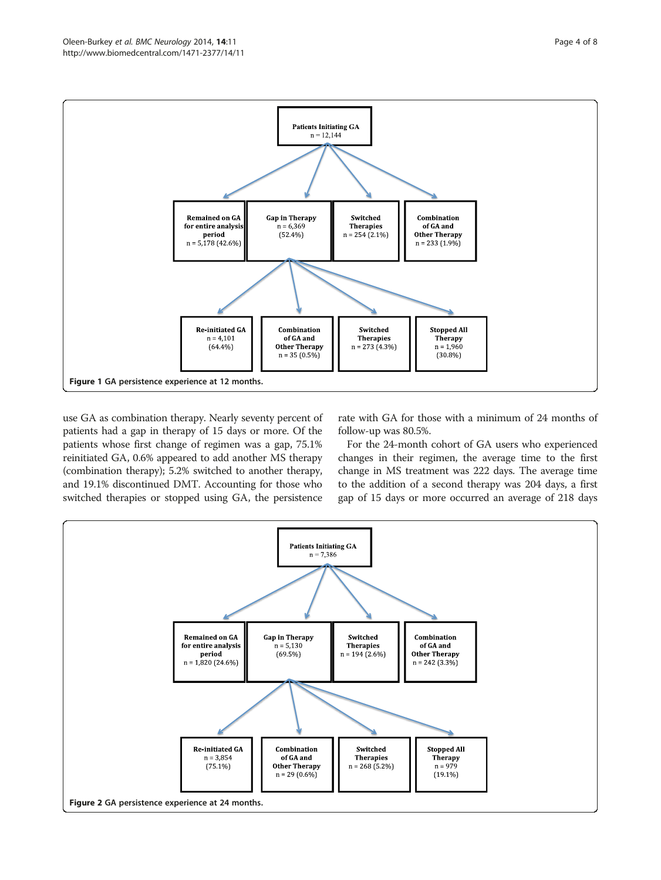<span id="page-3-0"></span>

use GA as combination therapy. Nearly seventy percent of patients had a gap in therapy of 15 days or more. Of the patients whose first change of regimen was a gap, 75.1% reinitiated GA, 0.6% appeared to add another MS therapy (combination therapy); 5.2% switched to another therapy, and 19.1% discontinued DMT. Accounting for those who switched therapies or stopped using GA, the persistence

rate with GA for those with a minimum of 24 months of follow-up was 80.5%.

For the 24-month cohort of GA users who experienced changes in their regimen, the average time to the first change in MS treatment was 222 days. The average time to the addition of a second therapy was 204 days, a first gap of 15 days or more occurred an average of 218 days

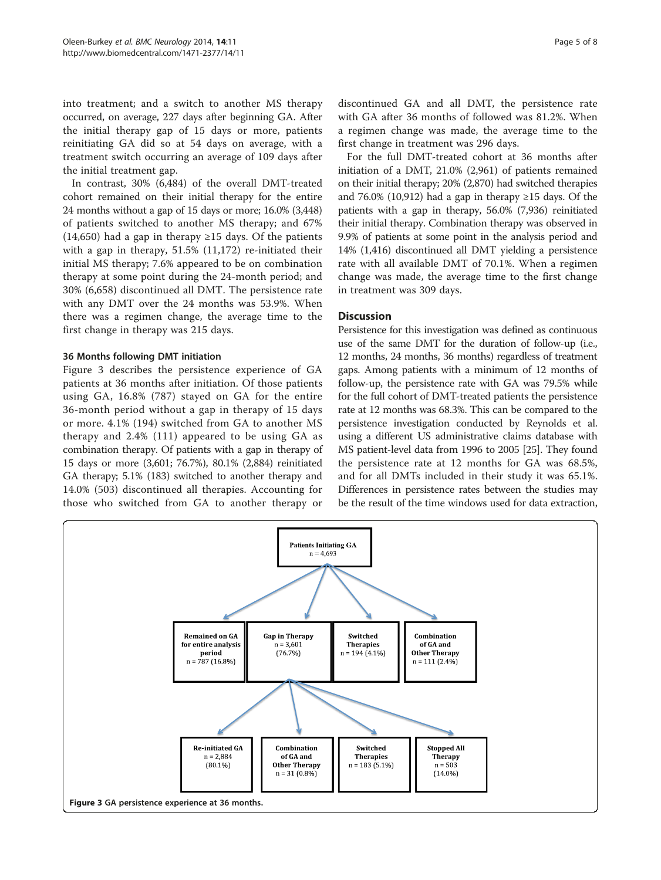into treatment; and a switch to another MS therapy occurred, on average, 227 days after beginning GA. After the initial therapy gap of 15 days or more, patients reinitiating GA did so at 54 days on average, with a treatment switch occurring an average of 109 days after the initial treatment gap.

In contrast, 30% (6,484) of the overall DMT-treated cohort remained on their initial therapy for the entire 24 months without a gap of 15 days or more; 16.0% (3,448) of patients switched to another MS therapy; and 67% (14,650) had a gap in therapy  $\geq$ 15 days. Of the patients with a gap in therapy, 51.5% (11,172) re-initiated their initial MS therapy; 7.6% appeared to be on combination therapy at some point during the 24-month period; and 30% (6,658) discontinued all DMT. The persistence rate with any DMT over the 24 months was 53.9%. When there was a regimen change, the average time to the first change in therapy was 215 days.

# 36 Months following DMT initiation

Figure 3 describes the persistence experience of GA patients at 36 months after initiation. Of those patients using GA, 16.8% (787) stayed on GA for the entire 36-month period without a gap in therapy of 15 days or more. 4.1% (194) switched from GA to another MS therapy and 2.4% (111) appeared to be using GA as combination therapy. Of patients with a gap in therapy of 15 days or more (3,601; 76.7%), 80.1% (2,884) reinitiated GA therapy; 5.1% (183) switched to another therapy and 14.0% (503) discontinued all therapies. Accounting for those who switched from GA to another therapy or

discontinued GA and all DMT, the persistence rate with GA after 36 months of followed was 81.2%. When a regimen change was made, the average time to the first change in treatment was 296 days.

For the full DMT-treated cohort at 36 months after initiation of a DMT, 21.0% (2,961) of patients remained on their initial therapy; 20% (2,870) had switched therapies and 76.0% (10,912) had a gap in therapy  $\geq$ 15 days. Of the patients with a gap in therapy, 56.0% (7,936) reinitiated their initial therapy. Combination therapy was observed in 9.9% of patients at some point in the analysis period and 14% (1,416) discontinued all DMT yielding a persistence rate with all available DMT of 70.1%. When a regimen change was made, the average time to the first change in treatment was 309 days.

# **Discussion**

Persistence for this investigation was defined as continuous use of the same DMT for the duration of follow-up (i.e., 12 months, 24 months, 36 months) regardless of treatment gaps. Among patients with a minimum of 12 months of follow-up, the persistence rate with GA was 79.5% while for the full cohort of DMT-treated patients the persistence rate at 12 months was 68.3%. This can be compared to the persistence investigation conducted by Reynolds et al. using a different US administrative claims database with MS patient-level data from 1996 to 2005 [\[25\]](#page-7-0). They found the persistence rate at 12 months for GA was 68.5%, and for all DMTs included in their study it was 65.1%. Differences in persistence rates between the studies may be the result of the time windows used for data extraction,

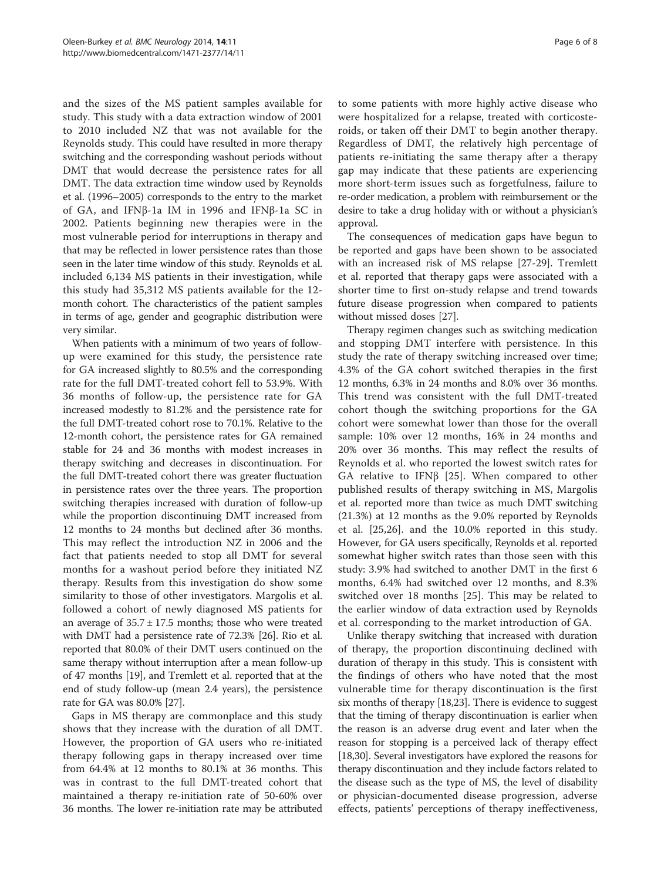and the sizes of the MS patient samples available for study. This study with a data extraction window of 2001 to 2010 included NZ that was not available for the Reynolds study. This could have resulted in more therapy switching and the corresponding washout periods without DMT that would decrease the persistence rates for all DMT. The data extraction time window used by Reynolds et al. (1996–2005) corresponds to the entry to the market of GA, and IFNβ-1a IM in 1996 and IFNβ-1a SC in 2002. Patients beginning new therapies were in the most vulnerable period for interruptions in therapy and that may be reflected in lower persistence rates than those seen in the later time window of this study. Reynolds et al. included 6,134 MS patients in their investigation, while this study had 35,312 MS patients available for the 12 month cohort. The characteristics of the patient samples in terms of age, gender and geographic distribution were very similar.

When patients with a minimum of two years of followup were examined for this study, the persistence rate for GA increased slightly to 80.5% and the corresponding rate for the full DMT-treated cohort fell to 53.9%. With 36 months of follow-up, the persistence rate for GA increased modestly to 81.2% and the persistence rate for the full DMT-treated cohort rose to 70.1%. Relative to the 12-month cohort, the persistence rates for GA remained stable for 24 and 36 months with modest increases in therapy switching and decreases in discontinuation. For the full DMT-treated cohort there was greater fluctuation in persistence rates over the three years. The proportion switching therapies increased with duration of follow-up while the proportion discontinuing DMT increased from 12 months to 24 months but declined after 36 months. This may reflect the introduction NZ in 2006 and the fact that patients needed to stop all DMT for several months for a washout period before they initiated NZ therapy. Results from this investigation do show some similarity to those of other investigators. Margolis et al. followed a cohort of newly diagnosed MS patients for an average of  $35.7 \pm 17.5$  months; those who were treated with DMT had a persistence rate of 72.3% [\[26\]](#page-7-0). Rio et al. reported that 80.0% of their DMT users continued on the same therapy without interruption after a mean follow-up of 47 months [\[19\]](#page-7-0), and Tremlett et al. reported that at the end of study follow-up (mean 2.4 years), the persistence rate for GA was 80.0% [[27](#page-7-0)].

Gaps in MS therapy are commonplace and this study shows that they increase with the duration of all DMT. However, the proportion of GA users who re-initiated therapy following gaps in therapy increased over time from 64.4% at 12 months to 80.1% at 36 months. This was in contrast to the full DMT-treated cohort that maintained a therapy re-initiation rate of 50-60% over 36 months. The lower re-initiation rate may be attributed

to some patients with more highly active disease who were hospitalized for a relapse, treated with corticosteroids, or taken off their DMT to begin another therapy. Regardless of DMT, the relatively high percentage of patients re-initiating the same therapy after a therapy gap may indicate that these patients are experiencing more short-term issues such as forgetfulness, failure to re-order medication, a problem with reimbursement or the desire to take a drug holiday with or without a physician's approval.

The consequences of medication gaps have begun to be reported and gaps have been shown to be associated with an increased risk of MS relapse [[27-29\]](#page-7-0). Tremlett et al. reported that therapy gaps were associated with a shorter time to first on-study relapse and trend towards future disease progression when compared to patients without missed doses [\[27](#page-7-0)].

Therapy regimen changes such as switching medication and stopping DMT interfere with persistence. In this study the rate of therapy switching increased over time; 4.3% of the GA cohort switched therapies in the first 12 months, 6.3% in 24 months and 8.0% over 36 months. This trend was consistent with the full DMT-treated cohort though the switching proportions for the GA cohort were somewhat lower than those for the overall sample: 10% over 12 months, 16% in 24 months and 20% over 36 months. This may reflect the results of Reynolds et al. who reported the lowest switch rates for GA relative to IFNβ [\[25](#page-7-0)]. When compared to other published results of therapy switching in MS, Margolis et al. reported more than twice as much DMT switching (21.3%) at 12 months as the 9.0% reported by Reynolds et al. [[25,26](#page-7-0)]. and the 10.0% reported in this study. However, for GA users specifically, Reynolds et al. reported somewhat higher switch rates than those seen with this study: 3.9% had switched to another DMT in the first 6 months, 6.4% had switched over 12 months, and 8.3% switched over 18 months [\[25](#page-7-0)]. This may be related to the earlier window of data extraction used by Reynolds et al. corresponding to the market introduction of GA.

Unlike therapy switching that increased with duration of therapy, the proportion discontinuing declined with duration of therapy in this study. This is consistent with the findings of others who have noted that the most vulnerable time for therapy discontinuation is the first six months of therapy [\[18,23\]](#page-7-0). There is evidence to suggest that the timing of therapy discontinuation is earlier when the reason is an adverse drug event and later when the reason for stopping is a perceived lack of therapy effect [[18,30](#page-7-0)]. Several investigators have explored the reasons for therapy discontinuation and they include factors related to the disease such as the type of MS, the level of disability or physician-documented disease progression, adverse effects, patients' perceptions of therapy ineffectiveness,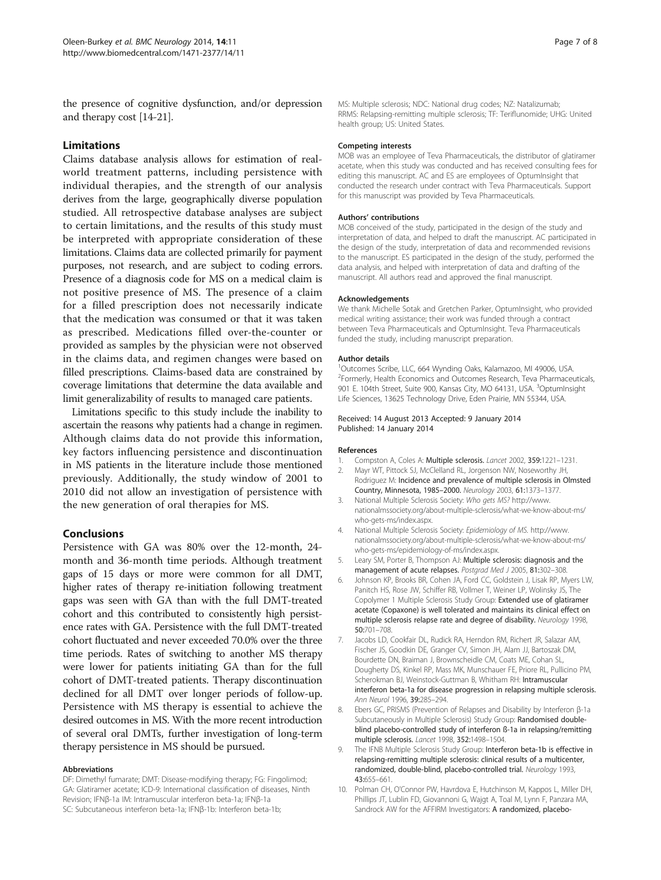<span id="page-6-0"></span>the presence of cognitive dysfunction, and/or depression and therapy cost [\[14-21](#page-7-0)].

# Limitations

Claims database analysis allows for estimation of realworld treatment patterns, including persistence with individual therapies, and the strength of our analysis derives from the large, geographically diverse population studied. All retrospective database analyses are subject to certain limitations, and the results of this study must be interpreted with appropriate consideration of these limitations. Claims data are collected primarily for payment purposes, not research, and are subject to coding errors. Presence of a diagnosis code for MS on a medical claim is not positive presence of MS. The presence of a claim for a filled prescription does not necessarily indicate that the medication was consumed or that it was taken as prescribed. Medications filled over-the-counter or provided as samples by the physician were not observed in the claims data, and regimen changes were based on filled prescriptions. Claims-based data are constrained by coverage limitations that determine the data available and limit generalizability of results to managed care patients.

Limitations specific to this study include the inability to ascertain the reasons why patients had a change in regimen. Although claims data do not provide this information, key factors influencing persistence and discontinuation in MS patients in the literature include those mentioned previously. Additionally, the study window of 2001 to 2010 did not allow an investigation of persistence with the new generation of oral therapies for MS.

#### Conclusions

Persistence with GA was 80% over the 12-month, 24 month and 36-month time periods. Although treatment gaps of 15 days or more were common for all DMT, higher rates of therapy re-initiation following treatment gaps was seen with GA than with the full DMT-treated cohort and this contributed to consistently high persistence rates with GA. Persistence with the full DMT-treated cohort fluctuated and never exceeded 70.0% over the three time periods. Rates of switching to another MS therapy were lower for patients initiating GA than for the full cohort of DMT-treated patients. Therapy discontinuation declined for all DMT over longer periods of follow-up. Persistence with MS therapy is essential to achieve the desired outcomes in MS. With the more recent introduction of several oral DMTs, further investigation of long-term therapy persistence in MS should be pursued.

#### Abbreviations

DF: Dimethyl fumarate; DMT: Disease-modifying therapy; FG: Fingolimod; GA: Glatiramer acetate; ICD-9: International classification of diseases, Ninth Revision; IFNβ-1a IM: Intramuscular interferon beta-1a; IFNβ-1a SC: Subcutaneous interferon beta-1a; IFNβ-1b: Interferon beta-1b;

MS: Multiple sclerosis; NDC: National drug codes; NZ: Natalizumab; RRMS: Relapsing-remitting multiple sclerosis; TF: Teriflunomide; UHG: United health group; US: United States.

#### Competing interests

MOB was an employee of Teva Pharmaceuticals, the distributor of glatiramer acetate, when this study was conducted and has received consulting fees for editing this manuscript. AC and ES are employees of OptumInsight that conducted the research under contract with Teva Pharmaceuticals. Support for this manuscript was provided by Teva Pharmaceuticals.

#### Authors' contributions

MOB conceived of the study, participated in the design of the study and interpretation of data, and helped to draft the manuscript. AC participated in the design of the study, interpretation of data and recommended revisions to the manuscript. ES participated in the design of the study, performed the data analysis, and helped with interpretation of data and drafting of the manuscript. All authors read and approved the final manuscript.

#### Acknowledgements

We thank Michelle Sotak and Gretchen Parker, OptumInsight, who provided medical writing assistance; their work was funded through a contract between Teva Pharmaceuticals and OptumInsight. Teva Pharmaceuticals funded the study, including manuscript preparation.

#### Author details

1 Outcomes Scribe, LLC, 664 Wynding Oaks, Kalamazoo, MI 49006, USA. <sup>2</sup> Formerly, Health Economics and Outcomes Research, Teva Pharmaceuticals, 901 E. 104th Street, Suite 900, Kansas City, MO 64131, USA. <sup>3</sup>OptumInsight Life Sciences, 13625 Technology Drive, Eden Prairie, MN 55344, USA.

#### Received: 14 August 2013 Accepted: 9 January 2014 Published: 14 January 2014

#### References

- 1. Compston A, Coles A: Multiple sclerosis. Lancet 2002, 359:1221-1231.
- 2. Mayr WT, Pittock SJ, McClelland RL, Jorgenson NW, Noseworthy JH, Rodriguez M: Incidence and prevalence of multiple sclerosis in Olmsted Country, Minnesota, 1985–2000. Neurology 2003, 61:1373–1377.
- 3. National Multiple Sclerosis Society: Who gets MS? [http://www.](http://www.nationalmssociety.org/about-multiple-sclerosis/what-we-know-about-ms/who-gets-ms/index.aspx) [nationalmssociety.org/about-multiple-sclerosis/what-we-know-about-ms/](http://www.nationalmssociety.org/about-multiple-sclerosis/what-we-know-about-ms/who-gets-ms/index.aspx) [who-gets-ms/index.aspx.](http://www.nationalmssociety.org/about-multiple-sclerosis/what-we-know-about-ms/who-gets-ms/index.aspx)
- 4. National Multiple Sclerosis Society: Epidemiology of MS. [http://www.](http://www.nationalmssociety.org/about-multiple-sclerosis/what-we-know-about-ms/who-gets-ms/epidemiology-of-ms/index.aspx) [nationalmssociety.org/about-multiple-sclerosis/what-we-know-about-ms/](http://www.nationalmssociety.org/about-multiple-sclerosis/what-we-know-about-ms/who-gets-ms/epidemiology-of-ms/index.aspx) [who-gets-ms/epidemiology-of-ms/index.aspx.](http://www.nationalmssociety.org/about-multiple-sclerosis/what-we-know-about-ms/who-gets-ms/epidemiology-of-ms/index.aspx)
- 5. Leary SM, Porter B, Thompson AJ: Multiple sclerosis: diagnosis and the management of acute relapses. Postgrad Med J 2005, 81:302–308.
- 6. Johnson KP, Brooks BR, Cohen JA, Ford CC, Goldstein J, Lisak RP, Myers LW, Panitch HS, Rose JW, Schiffer RB, Vollmer T, Weiner LP, Wolinsky JS, The Copolymer 1 Multiple Sclerosis Study Group: Extended use of glatiramer acetate (Copaxone) is well tolerated and maintains its clinical effect on multiple sclerosis relapse rate and degree of disability. Neurology 1998, 50:701–708.
- 7. Jacobs LD, Cookfair DL, Rudick RA, Herndon RM, Richert JR, Salazar AM, Fischer JS, Goodkin DE, Granger CV, Simon JH, Alam JJ, Bartoszak DM, Bourdette DN, Braiman J, Brownscheidle CM, Coats ME, Cohan SL, Dougherty DS, Kinkel RP, Mass MK, Munschauer FE, Priore RL, Pullicino PM, Scherokman BJ, Weinstock-Guttman B, Whitham RH: Intramuscular interferon beta-1a for disease progression in relapsing multiple sclerosis. Ann Neurol 1996, 39:285–294.
- 8. Ebers GC, PRISMS (Prevention of Relapses and Disability by Interferon β-1a Subcutaneously in Multiple Sclerosis) Study Group: Randomised doubleblind placebo-controlled study of interferon ß-1a in relapsing/remitting multiple sclerosis. Lancet 1998, 352:1498–1504.
- 9. The IFNB Multiple Sclerosis Study Group: Interferon beta-1b is effective in relapsing-remitting multiple sclerosis: clinical results of a multicenter, randomized, double-blind, placebo-controlled trial. Neurology 1993, 43:655–661.
- 10. Polman CH, O'Connor PW, Havrdova E, Hutchinson M, Kappos L, Miller DH, Phillips JT, Lublin FD, Giovannoni G, Wajgt A, Toal M, Lynn F, Panzara MA, Sandrock AW for the AFFIRM Investigators: A randomized, placebo-